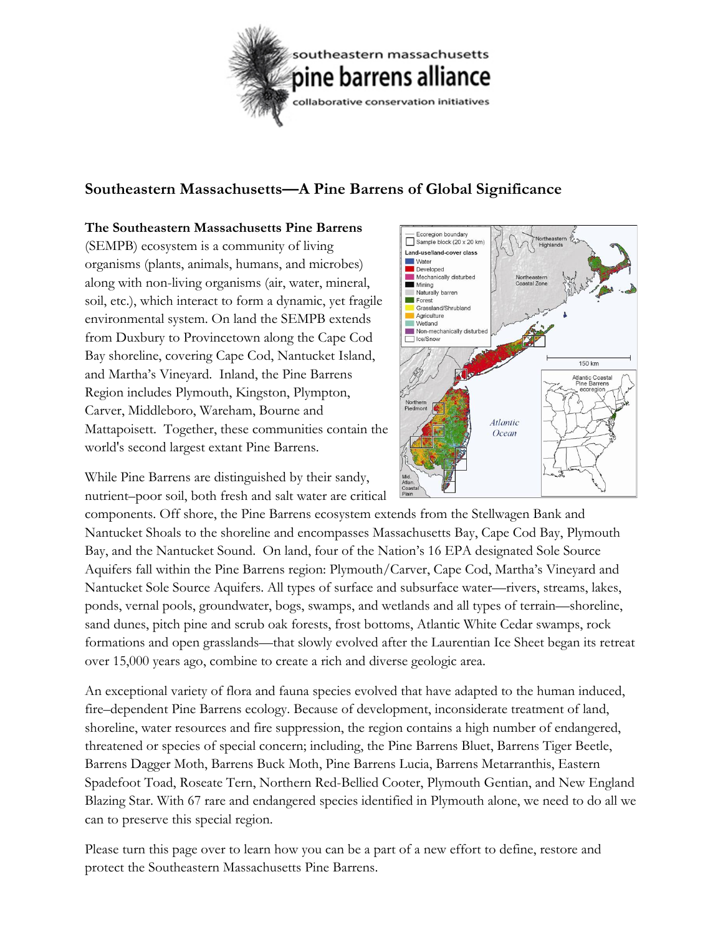

## **Southeastern Massachusetts—A Pine Barrens of Global Significance**

## **The Southeastern Massachusetts Pine Barrens**

(SEMPB) ecosystem is a community of living organisms (plants, animals, humans, and microbes) along with non-living organisms (air, water, mineral, soil, etc.), which interact to form a dynamic, yet fragile environmental system. On land the SEMPB extends from Duxbury to Provincetown along the Cape Cod Bay shoreline, covering Cape Cod, Nantucket Island, and Martha's Vineyard. Inland, the Pine Barrens Region includes Plymouth, Kingston, Plympton, Carver, Middleboro, Wareham, Bourne and Mattapoisett. Together, these communities contain the world's second largest extant Pine Barrens.

While Pine Barrens are distinguished by their sandy, nutrient–poor soil, both fresh and salt water are critical

over 15,000 years ago, combine to create a rich and diverse geologic area.



Ecoregion boundary Sample block (20 x 20 km)

Land-use/land-cover class

Grassland/Shrubland Agriculture Wetland

Non-mechanically disturber

Water Developed Mechanically disturbed Mining Naturally barren Forest

□ Ice/Snov

**Highland** 

150 km Atlantic Coasta<br>Pine Barrens

An exceptional variety of flora and fauna species evolved that have adapted to the human induced, fire–dependent Pine Barrens ecology. Because of development, inconsiderate treatment of land, shoreline, water resources and fire suppression, the region contains a high number of endangered, threatened or species of special concern; including, the Pine Barrens Bluet, Barrens Tiger Beetle, Barrens Dagger Moth, Barrens Buck Moth, Pine Barrens Lucia, Barrens Metarranthis, Eastern Spadefoot Toad, Roseate Tern, Northern Red-Bellied Cooter, Plymouth Gentian, and New England Blazing Star. With 67 rare and endangered species identified in Plymouth alone, we need to do all we can to preserve this special region.

Please turn this page over to learn how you can be a part of a new effort to define, restore and protect the Southeastern Massachusetts Pine Barrens.